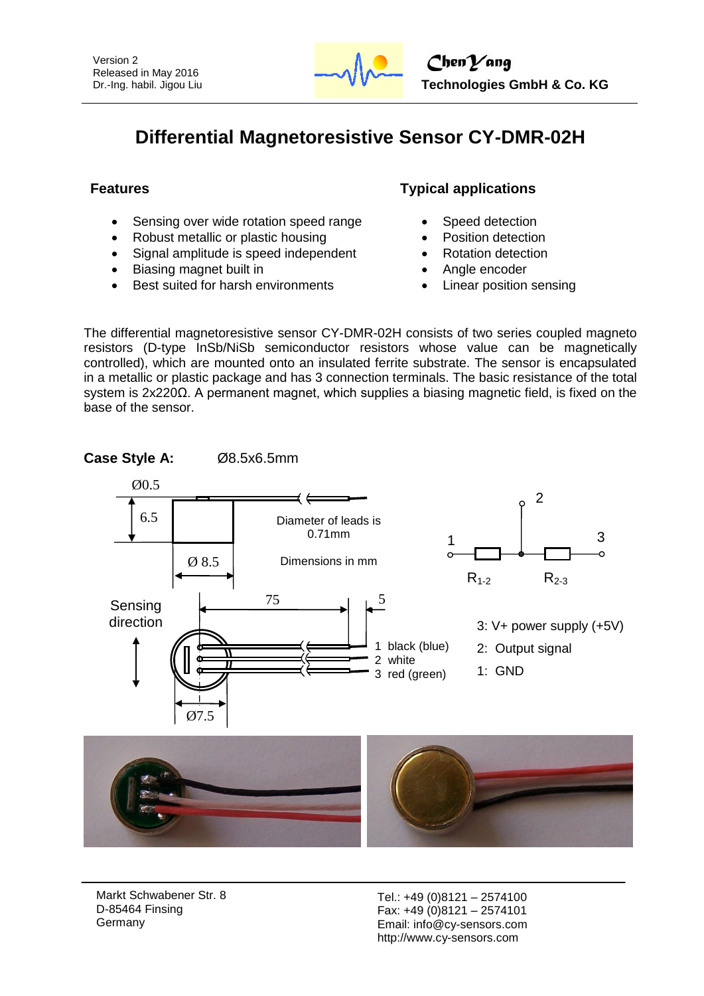

# **Differential Magnetoresistive Sensor CY-DMR-02H**

- Sensing over wide rotation speed range
- Robust metallic or plastic housing
- Signal amplitude is speed independent
- Biasing magnet built in
- Best suited for harsh environments

# **Features Typical applications**

- Speed detection
- Position detection
- Rotation detection
- Angle encoder
- Linear position sensing

The differential magnetoresistive sensor CY-DMR-02H consists of two series coupled magneto resistors (D-type InSb/NiSb semiconductor resistors whose value can be magnetically controlled), which are mounted onto an insulated ferrite substrate. The sensor is encapsulated in a metallic or plastic package and has 3 connection terminals. The basic resistance of the total system is 2x220Ω. A permanent magnet, which supplies a biasing magnetic field, is fixed on the base of the sensor.







Markt Schwabener Str. 8 D-85464 Finsing Germany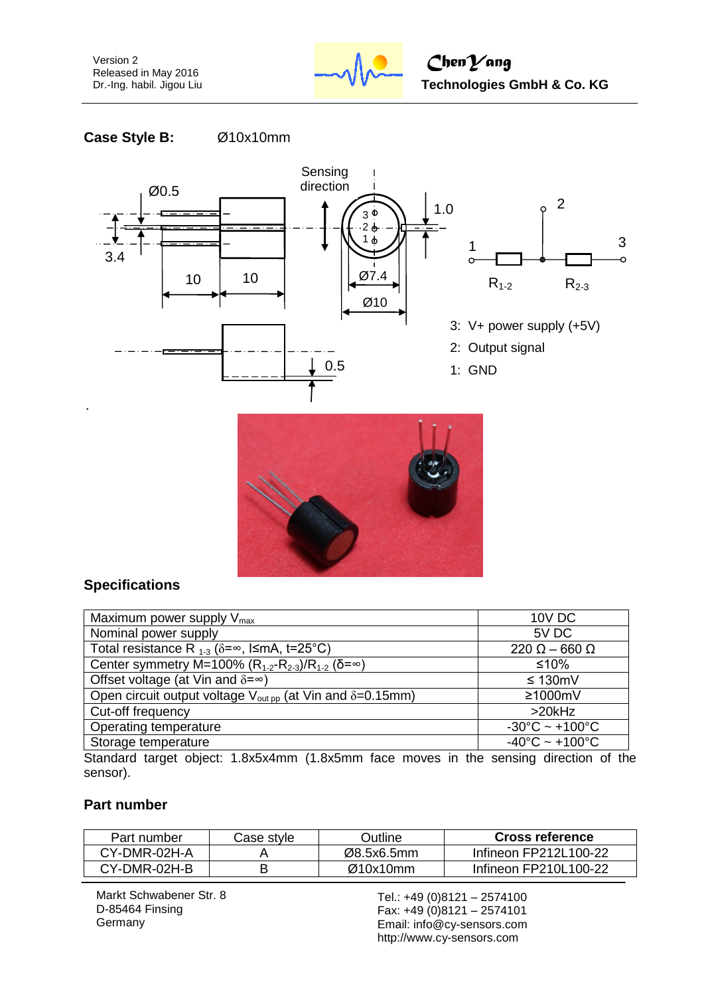Version 2 Released in May 2016 Dr.-Ing. habil. Jigou Liu



 $ChenYang$  **Technologies GmbH & Co. KG**

**Case Style B:** Ø10x10mm





# **Specifications**

| Maximum power supply $V_{\text{max}}$                                                   | 10V DC                              |
|-----------------------------------------------------------------------------------------|-------------------------------------|
| Nominal power supply                                                                    | 5V DC                               |
| Total resistance R $_{1-3}$ ( $\delta = \infty$ , I $\leq$ mA, t=25°C)                  | $220 \Omega - 660 \Omega$           |
| Center symmetry M=100% (R <sub>1-2</sub> -R <sub>2-3</sub> )/R <sub>1-2</sub> (δ=∞)     | $≤10%$                              |
| Offset voltage (at Vin and $\delta = \infty$ )                                          | ≤ 130mV                             |
| Open circuit output voltage $V_{\text{out } \text{op}}$ (at Vin and $\delta = 0.15$ mm) | $\geq 1000$ mV                      |
| Cut-off frequency                                                                       | $>20$ kHz                           |
| Operating temperature                                                                   | $-30^{\circ}$ C ~ $+100^{\circ}$ C  |
| Storage temperature                                                                     | $-40^{\circ}$ C ~ +100 $^{\circ}$ C |
| $\cdots$ $\sim$                                                                         |                                     |

Standard target object: 1.8x5x4mm (1.8x5mm face moves in the sensing direction of the sensor).

#### **Part number**

| Part number     | Case style | つutline    | <b>Cross reference</b> |
|-----------------|------------|------------|------------------------|
| CY-DMR-02H-A    |            | Ø8.5x6.5mm | Infineon FP212L100-22  |
| $CY$ -DMR-02H-B |            | Ø10x10mm   | Infineon FP210L100-22  |

Markt Schwabener Str. 8 D-85464 Finsing Germany

Tel.: +49 (0)8121 – 2574100 Fax: +49 (0)8121 – 2574101 Email: info@cy-sensors.com http://www.cy-sensors.com